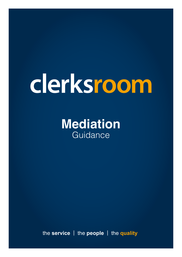# derksroom

**Mediation Guidance** 

the **service** |the **people** |the **quality**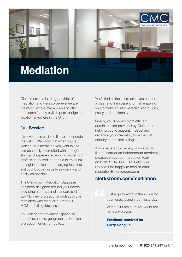

### **Mediation**

Clerksroom is a leading provider of mediation and we also believe we are the most flexible. We are able to offer mediators for any civil dispute, budget or location anywhere in the UK.

### Our **Service**

It's never been easier to find an independent mediator. We know that when you're looking for a mediator, you want to find someone fully accredited with the right skills and experience, working in the right profession, based in (or able to travel to) the right location, and charging fees that suit your budget, usually as quickly and easily as possible.

The Clerksroom Mediation Database has been designed around your needs, providing a central and standardised point to view professional profiles of civil mediators who meet all current EU, MOJ and UK guidelines.

You can search by name, specialist area of expertise, geographical location, profession, or using free text.

You'll find all the information you need in a clear and transparent format, enabling you to make an informed decision quickly, easily and confidently.

Finally, you'll benefit from efficient administration provided by Clerksroom, helping you to appoint, instruct and organise your mediator, from the first enquiry to the final billing.

If you have any queries, or you would like to instruct an independent mediator, please contact our mediation team on 01823 704 099. Lisa, Felicity or Holly will be happy to help or email mediation@clerksroom.com

### **clerksroom.com/mediation**:

Just a quick word to thank you for your tenacity and input yesterday.

Without it I am sure we would not have got a deal.

**Feedback received for Harry Hodgkin**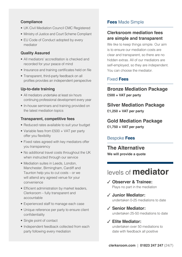- UK Civil Mediation Council CMC Registered
- Ministry of Justice and Court Scheme Compliant
- EU Code of Conduct adopted by every mediator

#### **Quality Assured**

- All mediators' accreditation is checked and recorded for your peace of mind
- Insurance and training certificates held on file
- Transparent, third-party feedback on all profiles provides an independent perspective

#### **Up-to-date training**

- All mediators undertake at least six hours continuing professional development every year
- In-house seminars and training provided on the latest mediation topics

#### **Transparent, competitive fees**

- Reduced rates available to suit your budget
- Variable fees from £500 + VAT per party offer you flexibility
- Fixed rates agreed with key mediators offer you transparency
- No additional travel costs throughout the UK when instructed through our service
- Mediation suites in Leeds, London, Manchester, Birmingham, Cardiff and Taunton help you to cut costs – or we will attend any agreed venue for your convenience
- Efficient administration by market leaders, Clerksroom – fully transparent and accountable
- Experienced staff to manage each case
- Unique reference per party to ensure client confidentiality
- Single point of contact
- Independent feedback collected from each party following every mediation

#### **Compliance Fees** Made Simple

### **Clerksroom mediation fees are simple and transparent**

We like to keep things simple. Our aim is to ensure our mediation costs are clear and transparent, so there are no hidden extras. All of our mediators are self-employed, so they are independent. You can choose the mediator.

#### Fixed **Fees**

### **Bronze Mediation Package £500 + VAT per party**

**Silver Mediation Package £1,250 + VAT per party**

### **Gold Mediation Package £1,750 + VAT per party**

### Bespoke **Fees**

**The Alternative We will provide a quote**

### levels of **mediator**

- 3 **Observer & Trainee:** Plays no part in the mediation
- 3 **Junior Mediator:** undertaken 0-25 mediations to date
- 3 **Senior Mediator:** undertaken 25-50 mediations to date

#### 3 **Elite Mediator:**

undertaken over 50 mediations to date with feedback all positive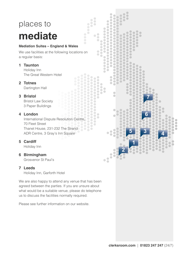### places to **mediate**

#### **Mediation Suites – England & Wales**

We use facilities at the following locations on a regular basis:

#### **1 Taunton**

Holiday Inn The Great Western Hotel

### **2 Totnes**

Dartington Hall

### **3 Bristol**

Bristol Law Society 3 Paper Buildings

### **4 London**

International Dispute Resolution Centre, 70 Fleet Street Thanet House, 231-232 The Strand ADR Centre, 3 Gray's Inn Square

### **5 Cardiff**

Holiday Inn

### **6 Birmingham**

Grosvenor St Paul's

#### **7 Leeds**

Holiday Inn, Garforth Hotel

We are also happy to attend any venue that has been agreed between the parties. If you are unsure about what would be a suitable venue, please do telephone us to discuss the facilities normally required.

Please see further information on our website.

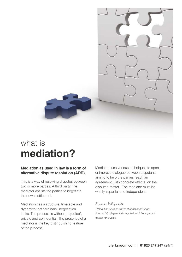

### what is **mediation?**

#### **Mediation as used in law is a form of alternative dispute resolution (ADR).**

This is a way of resolving disputes between two or more parties. A third party, the mediator assists the parties to negotiate their own settlement.

Mediation has a structure, timetable and dynamics that "ordinary" negotiation lacks. The process is without prejudice\*, private and confidential. The presence of a mediator is the key distinguishing feature of the process.

Mediators use various techniques to open, or improve dialogue between disputants, aiming to help the parties reach an agreement (with concrete effects) on the disputed matter. The mediator must be wholly impartial and independent.

#### *Source: Wikipedia*

*\*Without any loss or waiver of rights or privileges. Source: http://legal-dictionary.thefreedictionary.com/ without+prejudice*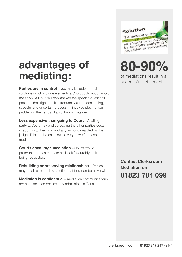### **advantages of mediating:**

**Parties are in control** – you may be able to devise solutions which include elements a Court could not or would not apply. A Court will only answer the specific questions posed in the litigation. It is frequently a time consuming, stressful and uncertain process. It involves placing your problem in the hands of an unknown outsider.

**Less expensive than going to Court** – A failing party at Court may end up paying the other parties costs in addition to their own and any amount awarded by the judge. This can be on its own a very powerful reason to mediate.

**Courts encourage mediation** – Courts would prefer that parties mediate and look favourably on it being requested.

**Rebuilding or preserving relationships** – Parties may be able to reach a solution that they can both live with.

**Mediation is confidential** – mediation communications are not disclosed nor are they admissible in Court.



## **80-90%**

of mediations result in a successful settlement

**Contact Clerksroom Mediation on 01823 704 099**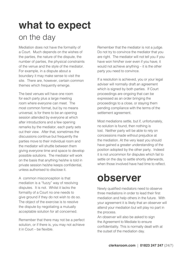### **what to expect** on the day

Mediation does not have the formality of a Court. Much depends on the wishes of the parties, the nature of the dispute, the number of parties, the physical constraints of the venue and the style of the mediator. For example, in a dispute about a boundary it may make sense to visit the site. There are, however, certain common themes which frequently emerge.

The best venues will have one room for each party plus a large meeting room where everyone can meet. The most common format, but by no means universal, is for there to be an opening session attended by everyone at which after introductions and a few opening remarks by the mediator, each party sets out their view. After that, sometimes the discussions continue but frequently the parties move to their individual room and the mediator will shuttle between them giving everyone time and space to develop possible solutions. The mediator will work on the basis that anything he/she is told in private session he/she keeps confidential, unless authorised to disclose it.

A common misconception is that mediation is a "fuzzy" way of resolving disputes. It is not. Whilst it lacks the formality of a Court no one needs to give ground if they do not wish to do so. The object of the exercise is to resolve the dispute by negotiating a mutually acceptable solution for all concerned.

Remember that there may not be a perfect solution, or if there is, you may not achieve it in Court – be flexible.

Remember that the mediator is not a judge. Do not try to convince the mediator that you are right. The mediator will not tell you if you have won him/her over even if you have, it would not achieve anything – it is the other party you need to convince.

If a resolution is achieved, you or your legal adviser will normally draft an agreement which is signed by both parties. If Court proceedings are ongoing that can be expressed as an order bringing the proceedings to a close, or staying them pending compliance with the terms of the settlement agreement.

Most mediations settle, but if, unfortunately, no solution is found, then nothing is lost. Neither party will be able to rely on concessions made without prejudice at the mediation. At the very least you should have gained a greater understanding of the position adopted by the other party. Indeed it is not uncommon for disputes which fail to settle on the day to settle shortly afterwards, when those involved have had time to reflect.

### **observer**

Newly qualified mediators need to observe three mediations in order to lead their first mediation and help others in the future. With your agreement it is likely that an observer will attend your mediation but will play no part in the process.

An observer will also be asked to sign the Agreement to Mediate to ensure confidentiality. This is normally dealt with at the outset of the mediation day.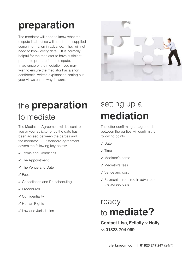### **preparation**

The mediator will need to know what the dispute is about so will need to be supplied some information in advance. They will not need to know every detail. It is normally helpful for the mediator to have sufficient papers to prepare for the dispute. In advance of the mediation, you may wish to ensure the mediator has a short confidential written explanation setting out your views on the way forward.



### the **preparation**  to mediate

The Mediation Agreement will be sent to you or your solicitor once the date has been agreed between the parties and the mediator. Our standard agreement covers the following key points:

- 3 Terms and Conditions
- $\checkmark$  The Appointment
- ✔ The Venue and Date
- $\checkmark$  Fees
- ✔ Cancellation and Re-scheduling
- 3 Procedures
- ✔ Confidentiality
- ✔ Human Rights
- $\angle$  Law and Jurisdiction

### setting up a **mediation**

The letter confirming an agreed date between the parties will confirm the following points:

- $\sqrt{\phantom{a}}$  Date
- $J$  Time
- 3 Mediator's name
- $\checkmark$  Mediator's fees
- ✔ Venue and cost
- $\checkmark$  Payment is required in advance of the agreed date

### ready to **mediate?**

**Contact Lisa, Felicity** or **Holly** on **01823 704 099**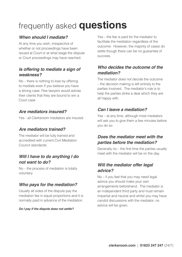### frequently asked **questions**

### *When should I mediate?*

At any time you wish, irrespective of whether or not proceedings have been issued at Court or at what stage the dispute or Court proceedings may have reached.

### *Is offering to mediate a sign of weakness?*

No – there is nothing to lose by offering to mediate even if you believe you have a strong case. Few lawyers would advise their clients that they are bound to win a Court case

### *Are mediators insured?*

Yes - all Clerksroom mediators are insured.

### *Are mediators trained?*

The mediator will be fully trained and accredited with current Civil Mediation Council standards.

### *Will I have to do anything I do not want to do?*

No – the process of mediation is totally voluntary.

### *Who pays for the mediation?*

Usually all sides of the dispute pay the mediation fee in equal proportions and it is normally paid in advance of the mediation.

*Do I pay if the dispute does not settle?*

Yes – the fee is paid for the mediator to facilitate the mediation regardless of the outcome. However, the majority of cases do settle though there can be no guarantee of success.

### *Who decides the outcome of the mediation?*

The mediator does not decide the outcome – the decision making is left entirely to the parties involved. The mediator's role is to help the parties strike a deal which they are all happy with.

### *Can I leave a mediation?*

Yes – at any time, although most mediators will ask you to give them a few minutes before you do so.

### *Does the mediator meet with the parties before the mediation?*

Generally no – the first time the parties usually meet with the mediator will be on the day.

### *Will the mediator offer legal advice?*

No – if you feel that you may need legal advice you should make your own arrangements beforehand. The mediator is an independent third party and must remain impartial and neutral and whilst you may have candid discussions with the mediator, no advice will be given.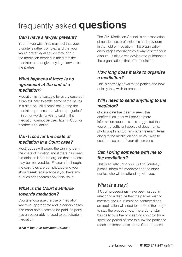### frequently asked **questions**

### *Can I have a lawyer present?*

Yes – if you wish. You may feel that your dispute is rather complex and that you would prefer legal advice throughout the mediation bearing in mind that the mediator cannot give any legal advice to the parties.

### *What happens if there is no agreement at the end of a mediation?*

Mediation is not suitable for every case but it can still help to settle some of the issues in a dispute. All discussions during the mediation process are "without prejudice" – in other words, anything said in the mediation cannot be used later in Court or another legal action.

### *Can I recover the costs of mediation in a Court case?*

Most judges will award the winning party the costs of litigation and if there has been a mediation it can be argued that the costs may be recoverable. Please note though, the cost rules are complicated and you should seek legal advice if you have any queries or concerns about this issue.

### **What is the Court's attitude**  *towards mediation?*

Courts encourage the use of mediation wherever appropriate and in certain cases can order some costs to be paid if a party has unreasonably refused to participate in mediation.

#### *What is the Civil Mediation Council?*

The Civil Mediation Council is an association of academics, professionals and providers in the field of mediation. The organisation encourages mediation as a way to settle your dispute. It also gives advice and guidance to the organisations that offer mediation.

### *How long does it take to organise a mediation?*

This is normally down to the parties and how quickly they wish to proceed.

### *Will I need to send anything to the mediator?*

Once a date has been agreed, the confirmation letter will provide more information about this. It is suggested that you bring sufficient copies of documents, photographs and/or any other relevant items along to the mediation should you wish to use them as part of your discussions.

### *Can I bring someone with me to the mediation?*

This is entirely up to you. Out of Courtesy, please inform the mediator and the other parties who will be attending with you.

### *What is a stay?*

If Court proceedings have been issued in relation to a dispute that the parties wish to mediate, the Court must be contacted and an application will need to made to the judge to stay the proceedings. The order of stay basically puts the proceedings on hold for a specified period of time to allow the parties to reach settlement outside the Court process.